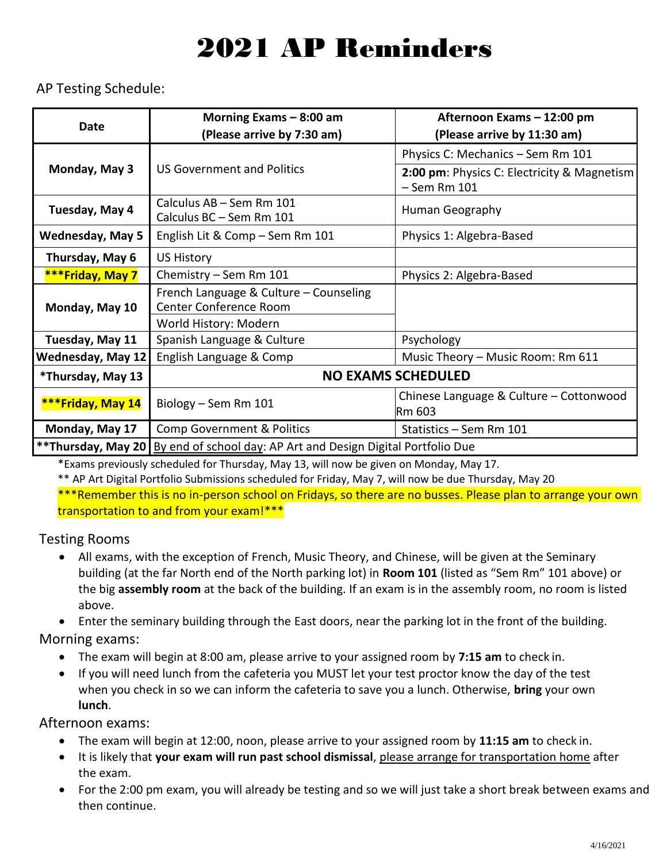## 2021 AP Reminders

AP Testing Schedule:

| <b>Date</b>              | Morning Exams $-8:00$ am                                         | Afternoon Exams - 12:00 pm                                      |
|--------------------------|------------------------------------------------------------------|-----------------------------------------------------------------|
|                          | (Please arrive by 7:30 am)                                       | (Please arrive by 11:30 am)                                     |
| Monday, May 3            | <b>US Government and Politics</b>                                | Physics C: Mechanics - Sem Rm 101                               |
|                          |                                                                  | 2:00 pm: Physics C: Electricity & Magnetism<br>$-$ Sem Rm $101$ |
| Tuesday, May 4           | Calculus AB - Sem Rm 101<br>Calculus BC - Sem Rm 101             | Human Geography                                                 |
| <b>Wednesday, May 5</b>  | English Lit & Comp - Sem Rm 101                                  | Physics 1: Algebra-Based                                        |
| Thursday, May 6          | <b>US History</b>                                                |                                                                 |
| ***Friday, May 7         | Chemistry - Sem Rm 101                                           | Physics 2: Algebra-Based                                        |
| Monday, May 10           | French Language & Culture - Counseling<br>Center Conference Room |                                                                 |
|                          | World History: Modern                                            |                                                                 |
| Tuesday, May 11          | Spanish Language & Culture                                       | Psychology                                                      |
| <b>Wednesday, May 12</b> | English Language & Comp                                          | Music Theory - Music Room: Rm 611                               |
| *Thursday, May 13        | <b>NO EXAMS SCHEDULED</b>                                        |                                                                 |
| ***Friday, May 14        | Biology - Sem Rm 101                                             | Chinese Language & Culture - Cottonwood                         |
|                          |                                                                  | Rm 603                                                          |
| Monday, May 17           | <b>Comp Government &amp; Politics</b>                            | Statistics - Sem Rm 101                                         |
| ** Thursday, May 20      | By end of school day: AP Art and Design Digital Portfolio Due    |                                                                 |

\*Exams previously scheduled for Thursday, May 13, will now be given on Monday, May 17.

\*\* AP Art Digital Portfolio Submissions scheduled for Friday, May 7, will now be due Thursday, May 20 \*\*\*Remember this is no in-person school on Fridays, so there are no busses. Please plan to arrange your own transportation to and from your exam!\*\*\*

Testing Rooms

• All exams, with the exception of French, Music Theory, and Chinese, will be given at the Seminary building (at the far North end of the North parking lot) in **Room 101** (listed as "Sem Rm" 101 above) or the big **assembly room** at the back of the building. If an exam is in the assembly room, no room is listed above.

• Enter the seminary building through the East doors, near the parking lot in the front of the building. Morning exams:

- The exam will begin at 8:00 am, please arrive to your assigned room by **7:15 am** to check in.
- If you will need lunch from the cafeteria you MUST let your test proctor know the day of the test when you check in so we can inform the cafeteria to save you a lunch. Otherwise, **bring** your own **lunch**.

Afternoon exams:

- The exam will begin at 12:00, noon, please arrive to your assigned room by **11:15 am** to check in.
- It is likely that **your exam will run past school dismissal**, please arrange for transportation home after the exam.
- For the 2:00 pm exam, you will already be testing and so we will just take a short break between exams and then continue.